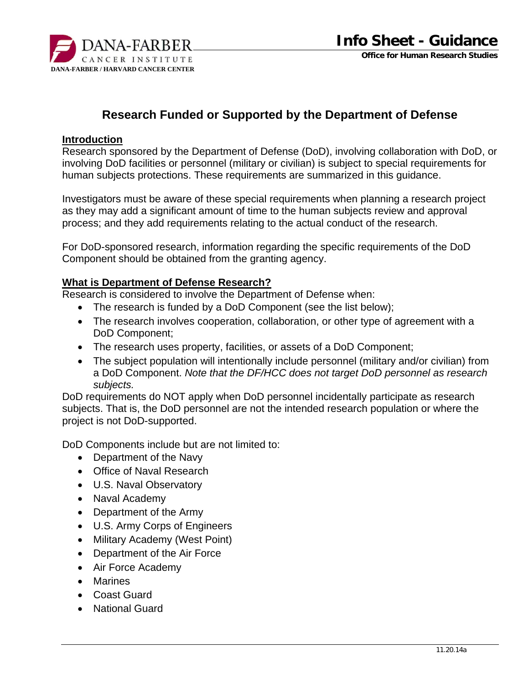

# **Research Funded or Supported by the Department of Defense**

#### **Introduction**

Research sponsored by the Department of Defense (DoD), involving collaboration with DoD, or involving DoD facilities or personnel (military or civilian) is subject to special requirements for human subjects protections. These requirements are summarized in this guidance.

Investigators must be aware of these special requirements when planning a research project as they may add a significant amount of time to the human subjects review and approval process; and they add requirements relating to the actual conduct of the research.

For DoD-sponsored research, information regarding the specific requirements of the DoD Component should be obtained from the granting agency.

#### **What is Department of Defense Research?**

Research is considered to involve the Department of Defense when:

- The research is funded by a DoD Component (see the list below);
- The research involves cooperation, collaboration, or other type of agreement with a DoD Component;
- The research uses property, facilities, or assets of a DoD Component;
- The subject population will intentionally include personnel (military and/or civilian) from a DoD Component. *Note that the DF/HCC does not target DoD personnel as research subjects.*

DoD requirements do NOT apply when DoD personnel incidentally participate as research subjects. That is, the DoD personnel are not the intended research population or where the project is not DoD-supported.

DoD Components include but are not limited to:

- Department of the Navy
- Office of Naval Research
- U.S. Naval Observatory
- Naval Academy
- Department of the Army
- U.S. Army Corps of Engineers
- Military Academy (West Point)
- Department of the Air Force
- Air Force Academy
- Marines
- Coast Guard
- National Guard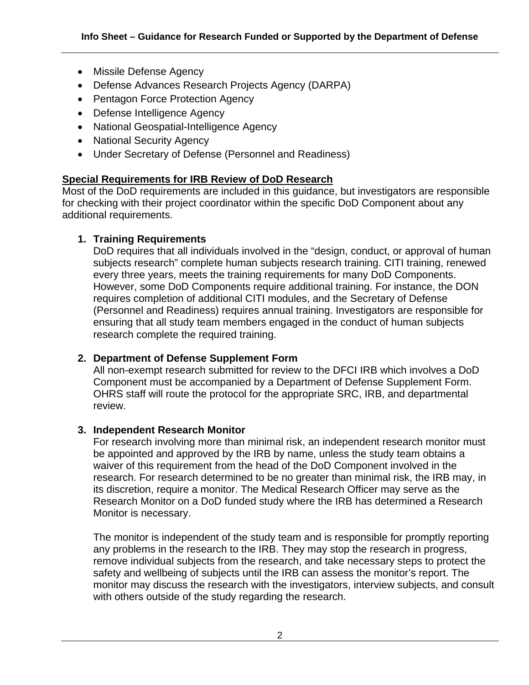- Missile Defense Agency
- Defense Advances Research Projects Agency (DARPA)
- Pentagon Force Protection Agency
- Defense Intelligence Agency
- National Geospatial-Intelligence Agency
- National Security Agency
- Under Secretary of Defense (Personnel and Readiness)

#### **Special Requirements for IRB Review of DoD Research**

Most of the DoD requirements are included in this guidance, but investigators are responsible for checking with their project coordinator within the specific DoD Component about any additional requirements.

#### **1. Training Requirements**

DoD requires that all individuals involved in the "design, conduct, or approval of human subjects research" complete human subjects research training. CITI training, renewed every three years, meets the training requirements for many DoD Components. However, some DoD Components require additional training. For instance, the DON requires completion of additional CITI modules, and the Secretary of Defense (Personnel and Readiness) requires annual training. Investigators are responsible for ensuring that all study team members engaged in the conduct of human subjects research complete the required training.

### **2. Department of Defense Supplement Form**

All non-exempt research submitted for review to the DFCI IRB which involves a DoD Component must be accompanied by a Department of Defense Supplement Form. OHRS staff will route the protocol for the appropriate SRC, IRB, and departmental review.

#### **3. Independent Research Monitor**

For research involving more than minimal risk, an independent research monitor must be appointed and approved by the IRB by name, unless the study team obtains a waiver of this requirement from the head of the DoD Component involved in the research. For research determined to be no greater than minimal risk, the IRB may, in its discretion, require a monitor. The Medical Research Officer may serve as the Research Monitor on a DoD funded study where the IRB has determined a Research Monitor is necessary.

The monitor is independent of the study team and is responsible for promptly reporting any problems in the research to the IRB. They may stop the research in progress, remove individual subjects from the research, and take necessary steps to protect the safety and wellbeing of subjects until the IRB can assess the monitor's report. The monitor may discuss the research with the investigators, interview subjects, and consult with others outside of the study regarding the research.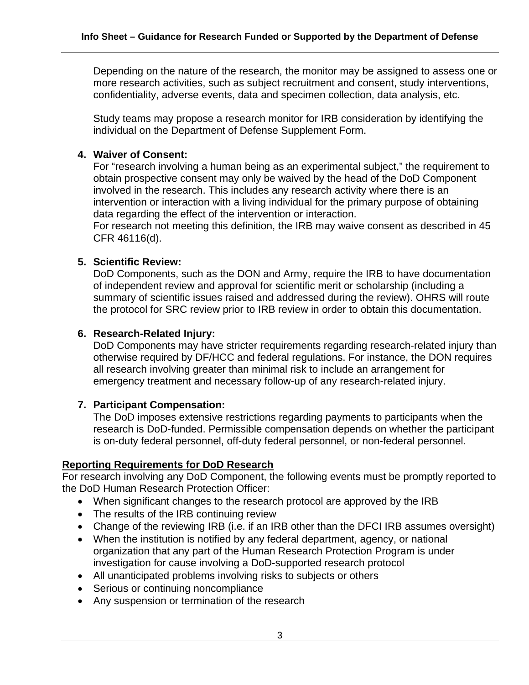Depending on the nature of the research, the monitor may be assigned to assess one or more research activities, such as subject recruitment and consent, study interventions, confidentiality, adverse events, data and specimen collection, data analysis, etc.

Study teams may propose a research monitor for IRB consideration by identifying the individual on the Department of Defense Supplement Form.

### **4. Waiver of Consent:**

For "research involving a human being as an experimental subject," the requirement to obtain prospective consent may only be waived by the head of the DoD Component involved in the research. This includes any research activity where there is an intervention or interaction with a living individual for the primary purpose of obtaining data regarding the effect of the intervention or interaction.

For research not meeting this definition, the IRB may waive consent as described in 45 CFR 46116(d).

## **5. Scientific Review:**

DoD Components, such as the DON and Army, require the IRB to have documentation of independent review and approval for scientific merit or scholarship (including a summary of scientific issues raised and addressed during the review). OHRS will route the protocol for SRC review prior to IRB review in order to obtain this documentation.

### **6. Research-Related Injury:**

DoD Components may have stricter requirements regarding research-related injury than otherwise required by DF/HCC and federal regulations. For instance, the DON requires all research involving greater than minimal risk to include an arrangement for emergency treatment and necessary follow-up of any research-related injury.

# **7. Participant Compensation:**

The DoD imposes extensive restrictions regarding payments to participants when the research is DoD-funded. Permissible compensation depends on whether the participant is on-duty federal personnel, off-duty federal personnel, or non-federal personnel.

### **Reporting Requirements for DoD Research**

For research involving any DoD Component, the following events must be promptly reported to the DoD Human Research Protection Officer:

- When significant changes to the research protocol are approved by the IRB
- The results of the IRB continuing review
- Change of the reviewing IRB (i.e. if an IRB other than the DFCI IRB assumes oversight)
- When the institution is notified by any federal department, agency, or national organization that any part of the Human Research Protection Program is under investigation for cause involving a DoD-supported research protocol
- All unanticipated problems involving risks to subjects or others
- Serious or continuing noncompliance
- Any suspension or termination of the research